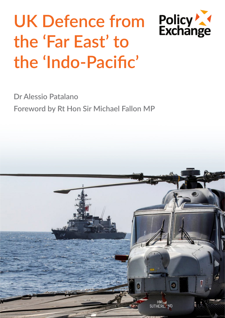# **UK Defence from the 'Far East' to the 'Indo-Pacific'**

Policy<br>Exchange



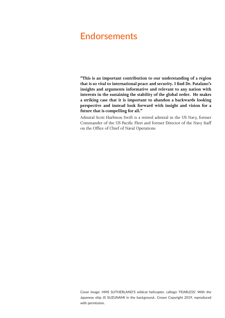## **Endorsements**

**"This is an important contribution to our understanding of a region that is so vital to international peace and security. I find Dr. Patalano's insights and arguments informative and relevant to any nation with interests in the sustaining the stability of the global order. He makes a striking case that it is important to abandon a backwards looking perspective and instead look forward with insight and vision for a future that is compelling for all."**

Admiral Scott Harbison Swift is a retired admiral in the US Navy, former Commander of the US Pacific Fleet and former Director of the Navy Staff on the Office of Chief of Naval Operations

Cover image: HMS SUTHERLAND'S wildcat helicopter, callsign 'FEARLESS'. With the Japanese ship JS SUZUNAMI in the background.. Crown Copyright 2019, reproduced with permission.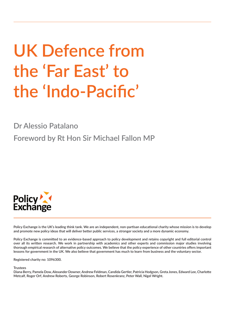# **UK Defence from the 'Far East' to the 'Indo-Pacific'**

**Dr Alessio Patalano**

**Foreword by Rt Hon Sir Michael Fallon MP**



**Policy Exchange is the UK's leading think tank. We are an independent, non-partisan educational charity whose mission is to develop and promote new policy ideas that will deliver better public services, a stronger society and a more dynamic economy.** 

**Policy Exchange is committed to an evidence-based approach to policy development and retains copyright and full editorial control over all its written research. We work in partnership with academics and other experts and commission major studies involving thorough empirical research of alternative policy outcomes. We believe that the policy experience of other countries offers important lessons for government in the UK. We also believe that government has much to learn from business and the voluntary sector.**

**Registered charity no: 1096300.**

**Trustees**

**Diana Berry, Pamela Dow, Alexander Downer, Andrew Feldman, Candida Gertler, Patricia Hodgson, Greta Jones, Edward Lee, Charlotte Metcalf, Roger Orf, Andrew Roberts, George Robinson, Robert Rosenkranz, Peter Wall, Nigel Wright.**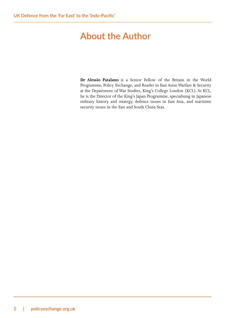# **About the Author**

**Dr Alessio Patalano** is a Senior Fellow of the Britain in the World Programme, Policy Exchange, and Reader in East Asian Warfare & Security at the Department of War Studies, King's College London (KCL). At KCL, he is the Director of the King's Japan Programme, specialising in Japanese military history and strategy, defence issues in East Asia, and maritime security issues in the East and South China Seas.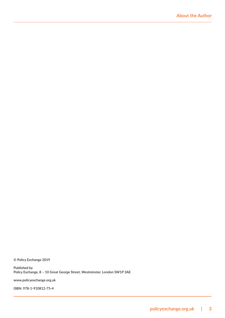**© Policy Exchange 2019**

**Published by Policy Exchange, 8 – 10 Great George Street, Westminster, London SW1P 3AE**

**www.policyexchange.org.uk**

**ISBN: 978-1-910812-75-4**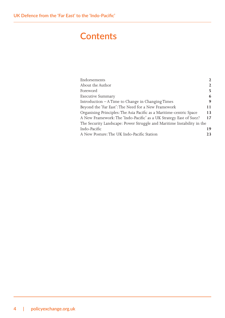# **Contents**

| Endorsements                                                           | 2            |
|------------------------------------------------------------------------|--------------|
| About the Author                                                       | $\mathbf{2}$ |
| Foreword                                                               | 5            |
| <b>Executive Summary</b>                                               | 6            |
| Introduction – A Time to Change in Changing Times                      | 9            |
| Beyond the 'Far East': The Need for a New Framework                    | 11           |
| Organising Principles: The Asia Pacific as a Maritime-centric Space    | 13           |
| A New Framework: The 'Indo-Pacific' as a UK Strategy East of Suez?     | 17           |
| The Security Landscape: Power Struggle and Maritime Instability in the |              |
| Indo-Pacific                                                           | 19           |
| A New Posture: The UK Indo-Pacific Station                             | 23           |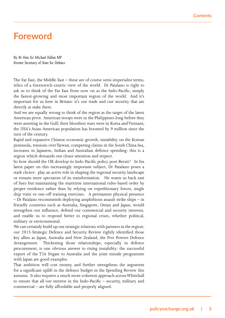## **Foreword**

*By Rt Hon Sir Michael Fallon MP Former Secretary of State for Defence*

The Far East, the Middle East – these are of course semi-imperialist terms, relics of a Greenwich-centric view of the world. Dr Patalano is right to ask us to think of the Far East from now on as the Indo-Pacific, simply the fastest-growing and most important region of the world. And it's important for us here in Britain: it's our trade and our security that are directly at stake there.

And we are equally wrong to think of the region as the target of the latest American pivot. American troops were in the Philippines long before they were assisting in the Gulf; their bloodiest wars were in Korea and Vietnam; the USA's Asian-American population has boomed by 9 million since the turn of the century.

Rapid and expansive Chinese economic growth, instability on the Korean peninsula, tensions over Taiwan, competing claims in the South China Sea, increases in Japanese, Indian and Australian defence spending: this is a region which demands our closer attention and respect.

So how should the UK develop its Indo-Pacific policy post-Brexit? In his latest paper on this increasingly important subject, Dr Patalano poses a stark choice: play an active role in shaping the regional security landscape or remain mere spectators of its transformation. He wants us back east of Suez but maintaining the maritime international rules-based order by proper residence rather than by relying on expeditionary forces, single ship visits or one-off training exercises. A permanent physical presence – Dr Patalano recommends deploying amphibious assault strike ships – in friendly countries such as Australia, Singapore, Oman and Japan, would strengthen our influence, defend our commercial and security interests, and enable us to respond better to regional crises, whether political, military or environmental.

We can certainly build up our strategic relations with partners in the region: our 2015 Strategic Defence and Security Review rightly identified those key allies as Japan, Australia and New Zealand, the Five Powers Defence Arrangement. Thickening those relationships, especially in defence procurement, is one obvious answer to rising instability: the successful export of the T26 frigate to Australia and the joint missile programme with Japan are good examples.

That ambition will cost money, and further strengthens the argument for a significant uplift in the defence budget in the Spending Review this autumn. It also requires a much more coherent approach across Whitehall to ensure that all our interest in the Indo-Pacific – security, military and commercial – are fully affordable and properly aligned.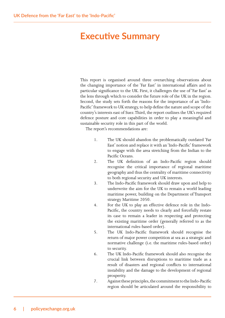## **Executive Summary**

This report is organised around three overarching observations about the changing importance of the 'Far East' in international affairs and its particular significance to the UK. First, it challenges the use of 'Far East' as the lens through which to consider the future role of the UK in the region. Second, the study sets forth the reasons for the importance of an 'Indo-Pacific' framework to UK strategy, to help define the nature and scope of the country's interests east of Suez. Third, the report outlines the UK's required defence posture and core capabilities in order to play a meaningful and sustainable security role in this part of the world.

The report's recommendations are:

- 1. The UK should abandon the problematically outdated 'Far East' notion and replace it with an 'Indo-Pacific' framework to engage with the area stretching from the Indian to the Pacific Oceans.
- 2. The UK definition of an Indo-Pacific region should recognise the critical importance of regional maritime geography and thus the centrality of maritime connectivity to both regional security and UK interests.
- 3. The Indo-Pacific framework should draw upon and help to underwrite the aim for the UK to remain a world leading maritime power, building on the Department of Transport strategy Maritime 2050.
- 4. For the UK to play an effective defence role in the Indo-Pacific, the country needs to clearly and forcefully restate its case to remain a leader in respecting and protecting the existing maritime order (generally referred to as the international rules-based order).
- 5. The UK Indo-Pacific framework should recognise the return of major power competition at sea as a strategic and normative challenge (i.e. the maritime rules-based order) to security.
- 6. The UK Indo-Pacific framework should also recognise the crucial link between disruptions to maritime trade as a result of disasters and regional conflicts to international instability and the damage to the development of regional prosperity.
- 7. Against these principles, the commitment to the Indo-Pacific region should be articulated around the responsibility to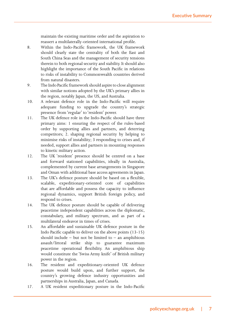maintain the existing maritime order and the aspiration to reassert a multilaterally-oriented international profile.

- 8. Within the Indo-Pacific framework, the UK framework should clearly state the centrality of both the East and South China Seas and the management of security tensions therein to both regional security and stability. It should also highlight the importance of the South Pacific in relations to risks of instability to Commonwealth countries derived from natural disasters.
- 9. The Indo Pacific framework should aspire to close alignment with similar notions adopted by the UK's primary allies in the region, notably Japan, the US, and Australia.
- 10. A relevant defence role in the Indo-Pacific will require adequate funding to upgrade the country's strategic presence from 'regular' to 'resident' power.
- 11. The UK defence role in the Indo-Pacific should have three primary aims: 1 ensuring the respect of the rules-based order by supporting allies and partners, and deterring competitors; 2. shaping regional security by helping to minimise risks of instability; 3 responding to crises and, if needed, support allies and partners in mounting responses to kinetic military action.
- 12. The UK 'resident' presence should be centred on a base and forward stationed capabilities, ideally in Australia, complemented by current base arrangements in Singapore and Oman with additional base access agreements in Japan.
- 13. The UK's defence posture should be based on a flexible, scalable, expeditionary-oriented core of capabilities that are affordable and possess the capacity to influence regional dynamics, support British foreign policy, and respond to crises.
- 14. The UK defence posture should be capable of delivering peacetime independent capabilities across the diplomatic, constabulary, and military spectrum, and as part of a multilateral endeavor in times of crises.
- 15. An affordable and sustainable UK defence posture in the Indo Pacific capable to deliver on the above points (13-15) should include – but not be limited to – an amphibious assault/littoral strike ship to guarantee maximum peacetime operational flexibility. An amphibious ship would constitute the 'Swiss Army knife' of British military power in the region.
- 16. The resident and expeditionary-oriented UK defence posture would build upon, and further support, the country's growing defence industry opportunities and partnerships in Australia, Japan, and Canada.
- 17. A UK resident expeditionary posture in the Indo-Pacific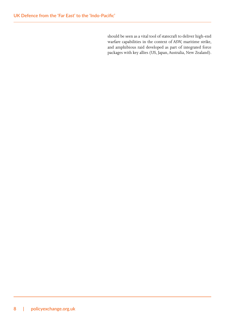should be seen as a vital tool of statecraft to deliver high-end warfare capabilities in the context of ASW, maritime strike, and amphibious raid developed as part of integrated force packages with key allies (US, Japan, Australia, New Zealand).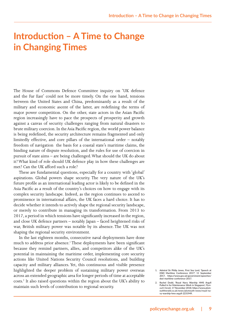## **Introduction – A Time to Change in Changing Times**

The House of Commons Defence Committee inquiry on 'UK defence and the Far East' could not be more timely. On the one hand, tensions between the United States and China, predominantly as a result of the military and economic ascent of the latter, are redefining the terms of major power competition. On the other, state actors in the Asian Pacific region increasingly have to pace the prospects of prosperity and growth against a canvas of security challenges ranging from natural disasters to brute military coercion. In the Asia Pacific region, the world power balance is being redefined, the security architecture remains fragmented and only limitedly effective, and core pillars of the international order – notably freedom of navigation the basis for a coastal state's maritime claims, the binding nature of dispute resolution, and the rules for use of coercion in pursuit of state aims – are being challenged. What should the UK do about it? What kind of role should UK defence play in how these challenges are met? Can the UK afford such a role?

These are fundamental questions, especially for a country with 'global' aspirations. Global powers shape security. The very nature of the UK's future profile as an international leading actor is likely to be defined in the Asia Pacific as a result of the country's choices on how to engage with its complex security landscape. Indeed, as the region continues to ascend to prominence in international affairs, the UK faces a hard choice. It has to decide whether it intends to actively shape the regional security landscape, or merely to contribute in managing its transformation. From 2013 to 2017, a period in which tensions have significantly increased in the region, and close UK defence partners – notably Japan – faced heightened risks of war, British military power was notable by its absence. The UK was not shaping the regional security environment.

In the last eighteen months, consecutive naval deployments have done much to address prior absence.<sup>1</sup> These deployments have been significant because they remind partners, allies, and competitors alike of the UK's potential in maintaining the maritime order, implementing core security actions like United Nations Security Council resolutions, and building capacity and military alliances. Yet, this continuous and visible presence highlighted the deeper problem of sustaining military power overseas across an extended geographic area for longer periods of time at acceptable costs.2 It also raised questions within the region about the UK's ability to maintain such levels of contribution to regional security.

**<sup>1.</sup> Admiral Sir Philip Jones, First Sea Lord, 'Speech at DSEI Maritime Conference 2017', 11 September 2017, https://www.gov.uk/government/speeches/ dsei-maritime-conference-2017.** 

**<sup>2.</sup> Rachel Dodd, 'Royal Navy Warship HMS Argyll Pulled in for Maintenance Work in Singapore',** *Plymouth Herald***, 17 November 2018; https://www.plymouthherald.co.uk/news/plymouth-news/royal-navy-warship-hms-argyll-2231949.**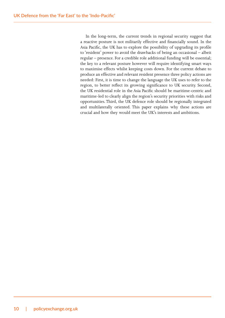In the long-term, the current trends in regional security suggest that a reactive posture is not militarily effective and financially sound. In the Asia Pacific, the UK has to explore the possibility of upgrading its profile to 'resident' power to avoid the drawbacks of being an occasional – albeit regular – presence. For a credible role additional funding will be essential; the key to a relevant posture however will require identifying smart ways to maximise effects whilst keeping costs down. For the current debate to produce an effective and relevant resident presence three policy actions are needed: First, it is time to change the language the UK uses to refer to the region, to better reflect its growing significance to UK security. Second, the UK residential role in the Asia Pacific should be maritime-centric and maritime-led to clearly align the region's security priorities with risks and opportunities. Third, the UK defence role should be regionally integrated and multilaterally oriented. This paper explains why these actions are crucial and how they would meet the UK's interests and ambitions.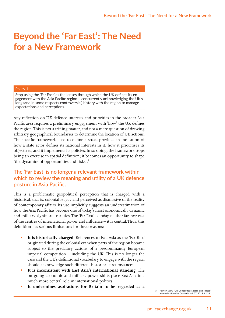# **Beyond the 'Far East': The Need for a New Framework**

#### Policy 1

Stop using the 'Far East' as the lenses through which the UK defines its engagement with the Asia Pacific region – concurrently acknowledging the UK's long (and in some respects controversial) history with the region to manage expectations and perceptions.

Any reflection on UK defence interests and priorities in the broader Asia Pacific area requires a preliminary engagement with 'how' the UK defines the region. This is not a trifling matter, and not a mere question of drawing arbitrary geographical boundaries to determine the location of UK actions. The specific framework used to define a space provides an indication of how a state actor defines its national interests in it, how it prioritises its objectives, and it implements its policies. In so doing, the framework stops being an exercise in spatial definition; it becomes an opportunity to shape 'the dynamics of opportunities and risks'.<sup>3</sup>

## **The 'Far East' is no longer a relevant framework within which to review the meaning and utility of a UK defence posture in Asia Pacific.**

This is a problematic geopolitical perception that is charged with a historical, that is, colonial legacy and perceived as dismissive of the reality of contemporary affairs. Its use implicitly suggests an underestimation of how the Asia Pacific has become one of today's most economically dynamic and military significant realities. The 'Far East' is today neither far, nor east of the centres of international power and influence – it is central. Thus, this definition has serious limitations for three reasons:

- **• It is historically charged**. References to East Asia as the 'Far East' originated during the colonial era when parts of the region became subject to the predatory actions of a predominantly European imperial competition – including the UK. This is no longer the case and the UK's definitional vocabulary to engage with the region should acknowledge such different historical circumstances.
- **• It is inconsistent with East Asia's international standing**. The on-going economic and military power shifts place East Asia in a much more central role in international politics
- **• It undermines aspirations for Britain to be regarded as a**

**3. Harvey Starr, "On Geopolitics: Spaces and Places",**  *International Studies Quarterly***, Vol. 57, 2013:3, 433.**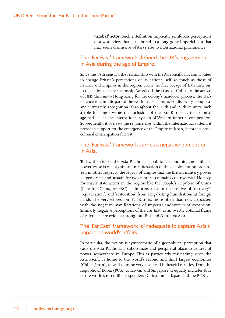**'Global' actor**. Such a definition implicitly reinforces perceptions of a worldview that is anchored to a long-gone imperial past that may seem dismissive of Asia's rise to international prominence.

#### **The 'Far East' framework defined the UK's engagement in Asia during the age of Empire.**

Since the 18th century, the relationship with the Asia Pacific has contributed to change Britain's perceptions of its national self, as much as those of nations and Empires in the region. From the first voyage of *HMS Endeavour*, to the actions of the steamship *Nemesis* off the coast of China, to the arrival of *HMS Chatham* to Hong Kong for the colony's handover process, the UK's defence role in this part of the world has encompassed discovery, conquest, and ultimately, recognition. Throughout the 19th and 20th century, such a role first underwrote the inclusion of the 'Far East' – as the colonial age had it – in the international system of Western imperial competition. Subsequently, it oversaw the region's rise within the international system, it provided support for the emergence of the Empire of Japan, before its postcolonial emancipation from it.

#### **The 'Far East' framework carries a negative perception in Asia.**

Today, the rise of the Asia Pacific as a political, economic, and military powerhouse is one significant manifestation of the decolonisation process. Yet, in other respects, the legacy of Empire that the British military power helped create and sustain for two centuries remains controversial. Notably, for major state actors in the region like the People's Republic of China (hereafter China, or PRC), it informs a national narrative of 'recovery', 'rejuvenation', and 'restoration' from long-lasting humiliations at foreign hands. The very expression 'Far East' is, more often than not, associated with the negative manifestations of imperial endeavours of expansion. Similarly, negative perceptions of the 'Far East' as an overtly colonial frame of reference are evident throughout East and Southeast Asia.

#### **The 'Far East' framework is inadequate to capture Asia's impact on world's affairs.**

In particular, the notion is symptomatic of a geopolitical perception that casts the Asia Pacific as a subordinate and peripheral place to centres of power somewhere in Europe. This is particularly misleading since the Asia Pacific is home to the world's second and third largest economies (China, Japan), as well as some very advanced industrial realities, from the Republic of Korea (ROK) to Taiwan and Singapore. It equally includes four of the world's top military spenders (China, India, Japan, and the ROK).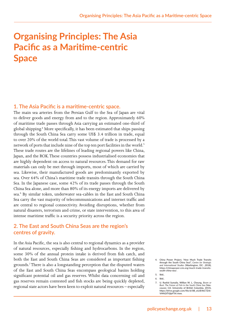# **Organising Principles: The Asia Pacific as a Maritime-centric Space**

#### **1. The Asia Pacific is a maritime-centric space.**

The main sea arteries from the Persian Gulf to the Sea of Japan are vital to deliver goods and energy from and to the region. Approximately 60% of maritime trade passes through Asia carrying an estimated one-third of global shipping.<sup>4</sup> More specifically, it has been estimated that ships passing through the South China Sea carry some US\$ 3.4 trillion in trade, equal to over 20% of the world total. This vast volume of trade is processed by a network of ports that include nine of the top ten port facilities in the world.5 These trade routes are the lifelines of leading regional powers like China, Japan, and the ROK. These countries possess industrialised economies that are highly dependent on access to natural resources. This demand for raw materials can only be met through imports, most of which are carried by sea. Likewise, their manufactured goods are predominantly exported by sea. Over 64% of China's maritime trade transits through the South China Sea. In the Japanese case, some 42% of its trade passes through the South China Sea alone, and more than 80% of its energy imports are delivered by sea.<sup>6</sup> By similar token, underwater sea-cables in the East and South China Sea carry the vast majority of telecommunications and internet traffic and are central to regional connectivity. Avoiding disruptions, whether from natural disasters, terrorism and crime, or state intervention, to this area of intense maritime traffic is a security priority across the region.

#### **2. The East and South China Seas are the region's centres of gravity.**

In the Asia Pacific, the sea is also central to regional dynamics as a provider of natural resources, especially fishing and hydrocarbons. In the region, some 30% of the annual protein intake is derived from fish catch, and both the East and South China Seas are considered as important fishing grounds.<sup>7</sup> There is also a longstanding perception that the disputed waters of the East and South China Seas encompass geological basins holding significant potential oil and gas reserves. Whilst data concerning oil and gas reserves remain contested and fish stocks are being quickly depleted, regional state actors have been keen to exploit natural resources – especially

**<sup>4.</sup> China Power Project, 'How Much Trade Transits through the South China Sea?',** *Centre for Strategic and International Studies* **(Washington, DC: ,2018),**  https://chinapower.csis.org/much-trade-transits**south-china-sea/.**

**<sup>5.</sup> Ibid..**

**<sup>6.</sup> Ibid..**

**<sup>7.</sup> U. Rashid Sumaila, Willian W. L. Cheung,** *Boom or Bust: The Future of Fish in the South China Sea* **(Vancouver, CA: University of British Columbia, 2015), https://drive.google.com/file/d/0B\_oUJE4kCTZrb-VI4N2tTVjlpYTA/view.**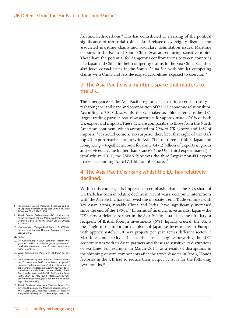fish and hydrocarbons.<sup>8</sup> This has contributed to a raising of the political significance of territorial (often island-related) sovereignty disputes and associated maritime claims and boundary delimitation issues. Maritime disputes in the East and South China Seas are enduring sensitive topics. These have the potential for dangerous confrontations between countries like Japan and China in their competing claims in the East China Sea; they also leave coastal states in the South China Sea with similar competing claims with China and less developed capabilities exposed to coercion.<sup>9</sup>

#### **3. The Asia Pacific is a maritime space that matters to the UK.**

The emergence of the Asia Pacific region as a maritime-centric reality is reshaping the landscape and composition of the UK economic relationships. According to 2017 data, whilst the EU – taken as a bloc – remains the UK's largest trading partner, Asia now accounts for approximately 20% of both UK export and imports. These data are comparable to those from the North American continent, which accounted for 22% of UK exports and 14% of imports.10 It should come as no surprise, therefore, that eight of the UK's top 25 export markets are now in Asia. The top three – China, Japan and Hong Kong – together account for some  $£47.2$  billion of exports in goods and services, a value higher than France's (the UK's third export market).<sup>11</sup> Similarly, in 2017, the ASEAN bloc was the third largest non-EU export market, accounting for £17.1 billion of exports.<sup>12</sup>

## **4. The Asia Pacific is rising whilst the EU has relatively declined.**

Within this context, it is important to emphasise that as the EU's share of UK trade has been in relative decline in recent years, economic interactions with the Asia Pacific have followed the opposite trend. Trade volumes with key Asian actors, notably China and India, have significantly increased since the end of the 1990s.<sup>13</sup> In terms of financial investments, Japan – the UK's closest defence partner in the Asia Pacific – stands as the fifth largest recipient of British foreign investments (5%). Equally crucial, the UK is the single most important recipient of Japanese investments in Europe, with approximately 100 new projects per year across different sectors.<sup>14</sup> Maritime connectivity is in fact the unseen engine powering the UK's economic ties with its Asian partners and these are sensitive to disruptions of sea-lanes. For example, in March 2011, as a result of disruptions in the shipping of core components after the triple disaster in Japan, Honda factories in the UK had to reduce their output by 50% for the following two months.<sup>15</sup>

- **8. For example, Alessio Patalano, 'Seapower and Sino-Japanese Relations in the East China Sea',** *Asian Affairs***, Vol. XLV, 2014:1, 36-41.**
- **9. Alessio Patalano, 'When Strategy is 'Hybrid' and Not 'Grey': Reviewing Chinese Military and Constabulary Coercion at Sea',** *The Pacific Review***, Vol. 31, 2018:6, 811-839.**
- **10. Matthew Ward, 'Geographical Pattern of UK Trade',**  *Briefing Paper* **(London: House of Commons, 11 January 2019), 5.**
- **11. Ibid., 7.**
- **12. UK Government, 'ASEAN Economic Reform Programme, 2018', https://www.gov.uk/government/ publications/prosperity-fund-fco-programme-summaries-countries.**
- **13. Ward, 'Geographical Pattern of UK Trade', op. cit., 3, 11.**
- **14. Data published by the Office of National Statis-tics, 01 November 2018, https://www.ons.gov.uk/ economy/nationalaccounts/balanceofpayments/ articles/exploringforeigninvestmentwheredoes-theukinvestandwhoinvestsintheuk/2018-11-01. Greg Hands, 'Japan and the UK: An Enduring Trade Partnership', 10 May 2018, https://www.gov.uk/ government/speeches/japan-and-the-uk-an-enduring-trade-partnership.**
- **15. Alessio Patalano, 'Japan as a Maritime Power: Deterrence, Diplomacy, and Maritime Security', in Mary M. McCarthy (ed.),** *Routledge Handbook of Japanese Foreign Policy* **(Abingdon, OX: Routledge, 2018), 158.**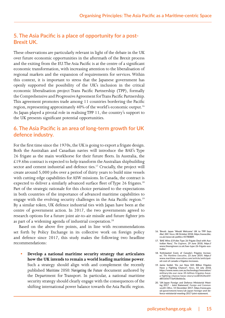### **5. The Asia Pacific is a place of opportunity for a post-Brexit UK.**

These observations are particularly relevant in light of the debate in the UK over future economic opportunities in the aftermath of the Brexit process and the exiting from the EU. The Asia Pacific is at the centre of a significant economic transformation, with increasing attention to the liberalisation of regional markets and the expansion of requirements for services. Within this context, it is important to stress that the Japanese government has openly supported the possibility of the UK's inclusion in the critical economic liberalisation project Trans Pacific Partnership (TPP), formally the Comprehensive and Progressive Agreement for Trans Pacific Partnership. This agreement promotes trade among 11 countries bordering the Pacific region, representing approximately 40% of the world's economic output.16 As Japan played a pivotal role in realising TPP 11, the country's support to the UK presents significant potential opportunities.

#### **6. The Asia Pacific is an area of long-term growth for UK defence industry.**

For the first time since the 1970s, the UK is going to export a frigate design. Both the Australian and Canadian navies will introduce the BAE's Type 26 frigate as the main workhorse for their future fleets. In Australia, the  $£19.6$ bn contract is expected to help transform the Australian shipbuilding sector and cement industrial and defence ties.<sup>17</sup> Crucially, the project will create around 5,000 jobs over a period of thirty years to build nine vessels with cutting edge capabilities for ASW missions. In Canada, the contract is expected to deliver a similarly advanced surface fleet of Type 26 frigates.<sup>18</sup> Part of the strategic rationale for this choice pertained to the expectations in both countries of the importance of advanced maritime capabilities to engage with the evolving security challenges in the Asia Pacific region.<sup>19</sup> By a similar token, UK defence industrial ties with Japan have been at the centre of government action. In 2017, the two governments agreed to research options for a future joint air-to-air missile and future fighter jets as part of a widening agenda of industrial cooperation.<sup>20</sup>

Based on the above five points, and in line with recommendations set forth by Policy Exchange in its collective work on foreign policy and defence since 2017, this study makes the following two headline recommendations:

- **• Develop a national maritime security strategy that articulates how the UK intends to remain a world leading maritime power**. Such a strategy should align with and complement the recently published *Maritime 2050: Navigating the Future* document authored by the Department for Transport. In particular, a national maritime security strategy should clearly engage with the consequences of the shifting international power balance towards the Asia Pacific region.
- **16. 'Brexit: Japan 'Would Welcome' UK to TPP Says Abe',** *BBC News***, 08 October 2018, https://www.bbc. co.uk/news/uk-politics-45780889.**
- **17. 'BAE Wins £19.6bn Type 26 Frigate Deal with Australian Navy',** *The Engineer***, 29 June 2018, https:// www.theengineer.co.uk/bae-type-26-frigate-australia/.**
- **18. 'Anticipated Costs of Canada's Frigates Increases',** *The Maritime Executive***, 23 June 2019, https:// www.maritime-executive.com/article/anticipated-cost-of-canada-s-frigates-increases.**
- **19. Jamie Seidel, 'Do our New \$35 Billion Frigates Have a Fighting Chance?',** *News***, 03 July 2018, https://www.news.com.au/technology/innovation/ military/do-our-new-35-billion-frigates-havea-fighting-chance/news-story/ce285424e65fd851656773a418e66e3a.**
- **20. 'UK-Japan Foreign and Defence Ministerial Meeting 2017 – Joint Statement',** *Foreign and Commonwealth Office***, 15 December 2017, https://www.gov. uk/government/news/uk-japan-foreign-and-defence-ministerial-meeting-2017-joint-statement.**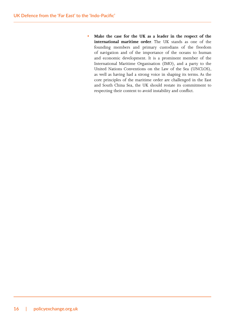**• Make the case for the UK as a leader in the respect of the international maritime order**. The UK stands as one of the founding members and primary custodians of the freedom of navigation and of the importance of the oceans to human and economic development. It is a prominent member of the International Maritime Organisation (IMO), and a party to the United Nations Conventions on the Law of the Sea (UNCLOS), as well as having had a strong voice in shaping its terms. As the core principles of the maritime order are challenged in the East and South China Sea, the UK should restate its commitment to respecting their content to avoid instability and conflict.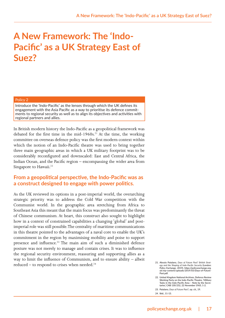# **A New Framework: The 'Indo-Pacific' as a UK Strategy East of Suez?**

#### Policy 2

Introduce the 'Indo-Pacific' as the lenses through which the UK defines its engagement with the Asia Pacific as a way to prioritise its defence commitments to regional security as well as to align its objectives and activities with regional partners and allies.

In British modern history the Indo-Pacific as a geopolitical framework was debated for the first time in the mid-1960s.<sup>21</sup> At the time, the working committee on overseas defence policy was the first modern context within which the notion of an Indo-Pacific theatre was used to bring together three main geographic areas in which a UK military footprint was to be considerably reconfigured and downscaled: East and Central Africa, the Indian Ocean, and the Pacific region – encompassing the wider area from Singapore to Hawaii.<sup>22</sup>

#### **From a geopolitical perspective, the Indo-Pacific was as a construct designed to engage with power politics.**

As the UK reviewed its options in a post-imperial world, the overarching strategic priority was to address the Cold War competition with the Communist world. In the geographic area stretching from Africa to Southeast Asia this meant that the main focus was predominantly the threat of Chinese communism. At heart, this construct also sought to highlight how in a context of constrained capabilities a changing 'global' and postimperial role was still possible. The centrality of maritime communications in this theatre pointed to the advantages of a naval core to enable the UK's commitment in the region by maximising mobility and poise to support presence and influence.<sup>23</sup> The main aim of such a diminished defence posture was not merely to manage and contain crises. It was to influence the regional security environment, reassuring and supporting allies as a way to limit the influence of Communism, and to ensure ability – albeit reduced – to respond to crises when needed.<sup>24</sup> *21.* Alessio Patalano, *Days of Future Past? British Strat*-<br>*egy and the Shaping of Indo-Pacific Security* (London:

*egy and the Shaping of Indo-Pacific Security* **(London: Policy Exchange, 2019), https://policyexchange.org. uk/wp-content/uploads/2019/03/Days-of-Future-Past.pdf.**

**<sup>22.</sup> United Kingdom National Archives, Defence Review Working Party on the Indo-Pacific Theatre, 'Military Tasks in the Indo-Pacific Area – Note by the Secretaries', CAB 130/252, 22 November 1965, 1-2.**

**<sup>23.</sup> Patalano,** *Days of Future Past?***, op. cit., 19.**

**<sup>24.</sup> Ibid., 11-13.**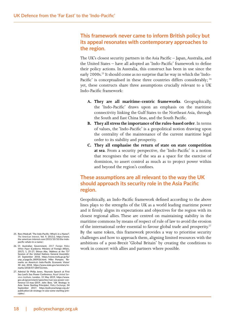### **This framework never came to inform British policy but its appeal resonates with contemporary approaches to the region.**

The UK's closest security partners in the Asia Pacific – Japan, Australia, and the United States – have all adopted an 'Indo-Pacific' framework to define their policy actions. In Australia, this construct has been in use since the early 2000s.<sup>25</sup> It should come as no surprise that he way in which the 'Indo-Pacific' is conceptualised in these three countries differs considerably; <sup>26</sup> yet, these constructs share three assumptions crucially relevant to a UK Indo-Pacific framework:

- **A. They are all maritime-centric frameworks**. Geographically, the 'Indo-Pacific' draws upon an emphasis on the maritime connectivity linking the Gulf States to the Northeast Asia, through the South and East China Seas, and the South Pacific.
- **B. They all stress the importance of the rules-based order**. In terms of values, the 'Indo-Pacific' is a geopolitical notion drawing upon the centrality of the maintenance of the current maritime legal order to its stability and prosperity.
- **C. They all emphasise the return of state on state competition at sea**. From a security perspective, the 'Indo-Pacific' is a notion that recognises the use of the sea as a space for the exercise of dominion, to assert control as much as to project power within and beyond the region's confines.

### **These assumptions are all relevant to the way the UK should approach its security role in the Asia Pacific region.**

Geopolitically, an Indo-Pacific framework defined according to the above lines plays to the strengths of the UK as a world leading maritime power and it firmly aligns its expectations and objectives for the region with its closest regional allies. These are centred on maintaining stability in the maritime commons by means of respect of rule of law to avoid the erosion of the international order essential to favour global trade and prosperity.<sup>27</sup> By the same token, this framework provides a way to prioritise security challenges and how to approach them, aligning limited resources with the ambitions of a post-Brexit 'Global Britain' by creating the conditions to work in concert with allies and partners where possible.

- **25. Rory Medcalf, 'The Indo-Pacific: What's in a Name?',**  *The American Interest***, Vol. 9, 2013:2, https://www. the-american-interest.com/2013/10/10/the-indopacific-whats-in-a-name/.**
- **26. Cf. Australian Government,** *2017 Foreign Policy White Paper* **(Canberra: Ministry of Foreign Affairs, 2017), 1, 25-27; Shinzo Abe, 'Address at the 73rd Session of the United Nations General Assembly', 25 September 2018, https://www.mofa.go.jp/fp/ unp\_a/page3e\_000926.html; Mike Pompeo, 'Remarks on America's Indo-Pacific Economic Vision' 30 July 2018, https://www.state.gov/secretary/remarks/2018/07/284722.htm.**
- **27. Admiral Sir Philip Jones, 'Keynote Speech at First Sea Lord's Sea Power Conference,** *Royal United Services Institute***, London, 15 May 2019, https://www. gov.uk/government/speeches/rusi-sea-power-conference-15-may-2019; John Bew, 'UK Strategy in Asia: Some Starting Principles',** *Policy Exchange***, 04 September 2017, https://policyexchange.org.uk/ publication/uk-strategy-in-asia-some-starting-principles/.**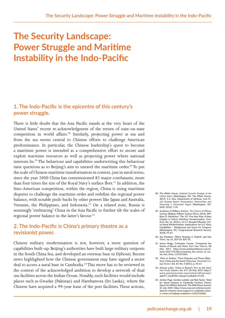# **The Security Landscape: Power Struggle and Maritime Instability in the Indo-Pacific**

### **1. The Indo-Pacific is the epicentre of this century's power struggle.**

There is little doubt that the Asia Pacific stands at the very heart of the United States' recent re-acknowledgment of the return of state-on-state competition in world affairs.<sup>28</sup> Similarly, projecting power at sea and from the sea seems central to Chinese efforts to challenge American predominance. In particular, the Chinese leadership's quest to become a maritime power is intended as a comprehensive effort to secure and exploit maritime resources as well as projecting power where national interests lie.29 The behaviour and capabilities underwriting this behaviour raise questions as to Beijing's aim to unravel the maritime order.<sup>30</sup> To put the scale of Chinese maritime transformation in context, just in naval terms, since the year 2000 China has commissioned 82 major combatants, more than four times the size of the Royal Navy's surface fleet.<sup>31</sup> In addition, the Sino-American competition, within the region, China is using maritime disputes to challenge the maritime order and redefine the regional power balance, with notable push-backs by other powers like Japan and Australia, Vietnam, the Philippines, and Indonesia.32 On a related note, Russia is seemingly 'embracing' China in the Asia Pacific to further tilt the scales of regional power balance in the latter's favour.<sup>33</sup>

#### **2. The Indo-Pacific is China's primary theatre as a revisionist power.**

Chinese military modernisation is not, however, a mere question of capabilities built-up. Beijing's authorities have built large military outposts in the South China Sea, and developed an overseas base in Djibouti. Recent news highlighted how the Chinese government may have signed a secret deal to access a naval base in Cambodia.<sup>34</sup> This move has to be reviewed in the context of the acknowledged ambition to develop a network of dual use facilities across the Indian Ocean. Notably, such facilities would include places such as Gwadar (Pakistan) and Hambantota (Sri Lanka), where the Chinese have acquired a 99-year lease of the port facilities. These actions,

- **28. The White House,** *National Security Strategy of the United States* **(Washington, DC: The White House, 2017), 2-3. Also, Department of Defense,** *Indo-Pacific Strategy Report: Preparedness, Partnerships, and Promoting a Networked Region* **(Washington, DC: DOD, 2019), 7-10.**
- **29. Academy of Military Science,** *The Science of Military Strategy* **(Beijing: Military Science Press, 2013), 209; Ryan D. Martinson, 'The 13th Five-Year Plan: A New Chapter in China's Maritime Transformation,** *China Brief***, Vol. 16, 2016:1, 14-17; Ronald O'Rourke, China Naval Modernization: Implications for U.S. Navy Capabilities – Background and Issues for Congress (Washington, DC: Congressional Research Service, 2018), 55-67.**
- **30. See Patalano, 'When Strategy is 'Hybrid' and Not 'Grey'', op. cit., 819-24, 831-33.**
- **31. James Mugg, Cristopher Cowan, 'Comparing the Navies of Russia and China',** *Real Clear Defense***, 08 May 2017, https://www.realcleardefense.com/articles/2017/05/08/comparing\_the\_navies\_of\_russia\_and\_china\_111331.html.**
- **32. Peter A. Dutton, 'Three Disputes and Three Objectives: China and the South China Sea',** *Naval War College Review***: Vol. 64: No. 4 (2011), p. 43-67.**
- **33. Artyom Lukin, 'China in Russia's Turn to the East',**  *Asia Pacific Bulletin***, No. 477, 06 May 2019, https:// www.eastwestcenter.org/system/tdf/private/ apb477\_0.pdf?file=1&type=node&id=37135.**
- **34. Jeremy Page, Gordon Lubold, and Rob Taylor, 'Deal for Naval Outpost in Cambodia Furthers China's Quest for Military Network', The Wall Street Journal, 22 July 2019, https://www.wsj.com/articles/secretdeal-for-chinese-naval-outpost-in-cambodia-raisesu-s-fears-of-beijings-ambitions-11563732482.**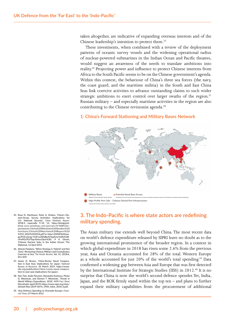taken altogether, are indicative of expanding overseas interests and of the Chinese leadership's intention to protect them.35

These investments, when combined with a review of the deployment patterns of oceanic survey vessels and the widening operational radius of nuclear-powered submarines in the Indian Ocean and Pacific theatres, would suggest an awareness of the needs to translate ambitions into reality.36 Projecting power and influence to protect Chinese interests from Africa to the South Pacific seems to be on the Chinese government's agenda. Within this context, the behaviour of China's three sea forces (the navy, the coast guard, and the maritime militia) in the South and East China Seas link coercive activities to advance outstanding claims to such wider strategic ambitions to exert control over larger swaths of the region.<sup>37</sup> Russian military – and especially maritime activities in the region are also contributing to the Chinese revisionist agenda.<sup>38</sup>

#### **1: China's Forward Stationing and Military Bases Network** China's Forward Stationing and Military Bases Network



- **35. Ryan D. Martinson, Peter A. Dutton, 'China's Distant-Ocean Survey Activities: Implications for U.S. National Security',** *China Maritime Report***, 2018:3, especially 9-10, 12, https://dnnlgwick. blob.core.windows.net/portals/0/NWCDepartments/China%20Maritime%20Studies%20 Institute/China%20Maritime%20Report%20 %233\_NOV%202018.pdf?sr=b&si=DNNFileManagerPolicy&sig=%2Fuy2RAjBuIGTqqfUw%2BJ%2B-** $\overline{\text{cPviM2cPLVTsqcXimocOjsw%3D}};$ **'Chinese Nuclear Subs in the Indian Ocean', The Diplomat, 12 April 2015.**
- **36. Alessio Patalano, 'When Strategy is 'Hybrid' and Not 'Grey': Reviewing Chinese Military and Constabulary Coercion at Sea',** *The Pacific Review***, Vol. 31, 2018:6, 811-839.**
- **37. James D. Brown, 'China-Russia Naval Cooperation in East Asia: Implications for Japan',** *National Bureau of Research***, 26 March 2019, https://www. nbr.org/publication/china-russia-naval-cooperation-in-east-asia-implications-for-japan/.**
- **38. Nan Tian, Aude Fleurant, Alexandra Kuimova, Pieter D. Wezeman, and Siemon T. Wezeman, 'Trends in World Military Expenditure, 2018',** *SIPRI Fact Sheet* **(Stockholm: April 2019), https://www.sipri.org/sites/ default/files/2019-04/fs\_1904\_milex\_2018\_0.pdf.**
- **39. 'Asia Defence Spending to Overtake Europe',** *Financial Times***, 07 March 2012.**

## **3. The Indo-Pacific is where state actors are redefining military spending.**

The Asian military rise extends well beyond China. The most recent data on world's defence expenditure released by SIPRI leave no doubt as to the growing international prominence of the broader region. In a context in which global expenditure in 2018 has risen some 2.6% from the previous year, Asia and Oceania accounted for 28% of the total. Western Europe as a whole accounted for just 20% of the world's total spending.<sup>39</sup> Data confirmed a widening gap between Asia and Europe that was first detected by the International Institute for Strategic Studies (IISS) in 2012.<sup>40</sup> It is no surprise that China is now the world's second defence spender. Yet, India, Japan, and the ROK firmly stand within the top ten – and plans to further expand their military capabilities from the procurement of additional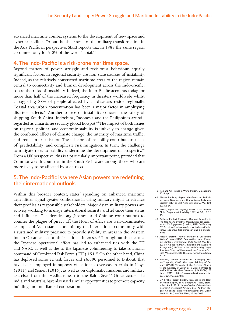advanced maritime combat systems to the development of new space and cyber capabilities. To put the sheer scale of the military transformation in the Asia Pacific in perspective, SIPRI reports that in 1988 the same region accounted only for 9.0% of the world's total.<sup>41</sup>

#### **4. The Indo-Pacific is a risk-prone maritime space.**

Beyond matters of power struggle and revisionist behaviour, equally significant factors in regional security are non-state sources of instability. Indeed, as the relatively constricted maritime areas of the region remain central to connectivity and human development across the Indo-Pacific, so are the risks of instability. Indeed, the Indo-Pacific accounts today for more than half of the increased frequency in disasters worldwide whilst a staggering 88% of people affected by all disasters reside regionally. Coastal area urban concentration has been a major factor in amplifying disasters' effects.<sup>42</sup> Another source of instability concerns the safety of shipping. South China, Indochina, Indonesia and the Philippines are still regarded as a maritime security global hotspot.<sup>43</sup> The impact of both issues on regional political and economic stability is unlikely to change given the combined effects of climate change, the intensity of maritime traffic, and trends in urbanisation. These factors of instability contribute to a lack of 'predictability' and complicate risk mitigation. In turn, the challenge to mitigate risks to stability undermine the development of prosperity.<sup>44</sup> From a UK perspective, this is a particularly important point, provided that Commonwealth countries in the South Pacific are among those who are more likely to be affected by such risks.

### **5. The Indo-Pacific is where Asian powers are redefining their international outlook.**

Within this broader context, states' spending on enhanced maritime capabilities signal greater confidence in using military might to advance their profiles as responsible stakeholders. Major Asian military powers are actively working to manage international security and advance their status and influence. The decade-long Japanese and Chinese contributions to counter the plague of piracy off the Horn of Africa are well-documented examples of Asian state actors joining the international community with a sustained military presence to provide stability in areas in the Western Indian Ocean crucial to their national interests.<sup>45</sup> Throughout this decade, the Japanese operational effort has led to enhanced ties with the EU and NATO, as well as the to the Japanese volunteering to take rotational command of Combined Task Force (CTF) 151.<sup>46</sup> On the other hand, China has deployed some 32 task forces and 26,000 personnel to Djibouti that have been employed in support of nationals overseas in crisis in Libya (2011) and Yemen (2015), as well as on diplomatic missions and military exercises from the Mediterranean to the Baltic Seas.<sup>47</sup> Other actors like India and Australia have also used similar opportunities to promote capacity building and multilateral cooperation.

- **40. Tian and All, 'Trends in World Military Expenditure, 2018', op. cit..**
- **41. Alessio Patalano, 'Beyond the Gunboats: Rethinking Naval Diplomacy and Humanitarian Assistance Disaster Relief in East Asia',** *RUSI Journal***, Vol. 160, 2015:2, 34.**
- **42. Allianz,** *Safety and Shipping Review 2019* **(Alliance Global Corporate & Speciality, 2019), 4, 8-9, 16, 32, 46.**
- **43. Ambassador Koji Tsuruoka, 'Opening Remarks', in**  *The Indo-Pacific Initiative: Opportunities for European and UK Engagement* **(London, RUSI: 08 February 2019), https://rusi.org/conference/indo-pacific-initiative-opportunities-european-and-uk-engagement.**
- **44. Alessio Patalano, 'Natural Partners in Challenging**  Waters? Japan-NATO Cooperation in a Ch **ing Maritime Environment',** *RUSI Journal***, Vol. 161, 2016:3, 42-51; Andrew S. Erickson and Austin M. Strange (eds.),** *Six Years at Sea… and Counting: Gulf of Aden Anti-Piracy and China's Maritime Commons Presence* **(Washington, DC: The Jamestown Foundation, 2015).**
- **45. Patalano, 'Natural Partners in Challenging Waters?', op. cit., 45-46. Also, Japan Ministry of Defence (JMoD), 'Dispatch of the Defence Attaché to the Embassy of Japan as a Liaison Officer to NATO Allied Maritime Command (MARCOM), 07 June 2019, https://www.mod.go.jp/e/press/release/2019/0607a.html.**
- **46. SIPRI, 'The Foreign Military Presence in the Horn of Africa Region',** *SIPRI Background Paper***, Stockholm, April 2019, https://sipri.org/sites/default/ files/2019-04/sipribp1904.pdf, 3-5; Andrew Higgins, 'China and Russia Hold First Joint Naval Drill in the Baltic Sea',** *New York Times***, 25 July 2017.**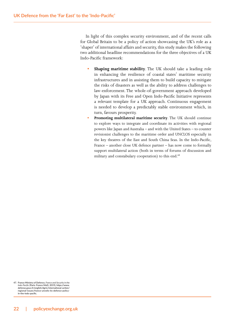In light of this complex security environment, and of the recent calls for Global Britain to be a policy of action showcasing the UK's role as a 'shaper' of international affairs and security, this study makes the following two additional headline recommendations for the three objectives of a UK Indo-Pacific framework:

- **Shaping maritime stability**. The UK should take a leading role in enhancing the resilience of coastal states' maritime security infrastructures and in assisting them to build capacity to mitigate the risks of disasters as well as the ability to address challenges to law-enforcement. The whole-of-government approach developed by Japan with its Free and Open Indo-Pacific Initiative represents a relevant template for a UK approach. Continuous engagement is needed to develop a predictably stable environment which, in turn, favours prosperity.
- **• Promoting multilateral maritime security**. The UK should continue to explore ways to integrate and coordinate its activities with regional powers like Japan and Australia – and with the United States – to counter revisionist challenges to the maritime order and UNCLOS especially in the key theatres of the East and South China Seas. In the Indo-Pacific, France – another close UK defence partner – has now come to formally support multilateral action (both in terms of forums of discussion and military and constabulary cooperation) to this end.<sup>48</sup>

**<sup>47.</sup> France Ministry of Defence,** *France and Security in the Indo-Pacific* **(Paris: France MoD, 2019), https://www. defense.gouv.fr/english/dgris/international-action/ regional-issues/france-unveils-its-defence-policyin-the-indo-pacific.**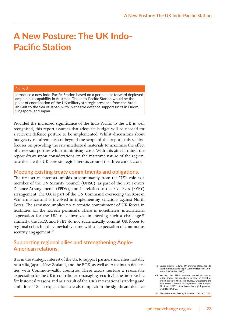## **A New Posture: The UK Indo-Pacific Station**

#### Policy 3

Introduce a new Indo-Pacific Station based on a permanent forward deployed amphibious capability in Australia. The Indo-Pacific Station would be the point of coordination of the UK military strategic presence from the Arabian Gulf to the Sea of Japan, with in-theatre defence support units in Duqm, Singapore, and Japan.

Provided the increased significance of the Indo-Pacific to the UK is well recognised, this report assumes that adequate budget will be needed for a relevant defence posture to be implemented. Whilst discussions about budgetary requirements are beyond the scope of this report, this section focuses on providing the raw intellectual materials to maximise the effect of a relevant posture whilst minimising costs. With this aim in mind, the report draws upon considerations on the maritime nature of the region, to articulate the UK core strategic interests around the three core factors.

#### **Meeting existing treaty commitments and obligations.**

The first set of interests unfolds predominantly from the UK's role as a member of the UN Security Council (UNSC), as part of the Five Powers Defence Arrangements (FPDA), and in relation to the Five Eyes (FVEY) arrangement. The UK is part of the UN Command overseeing the Korean War armistice and is involved in implementing sanctions against North Korea. The armistice implies no automatic commitment of UK forces in hostilities on the Korean peninsula. There is nonetheless international expectation for the UK to be involved in meeting such a challenge.<sup>49</sup> Similarly, the FPDA and FVEY do not automatically commit UK forces to regional crises but they inevitably come with an expectation of continuous security engagement.<sup>50</sup>

### **Supporting regional allies and strengthening Anglo-American relations.**

It is in the strategic interest of the UK to support partners and allies, notably Australia, Japan, New Zealand, and the ROK, as well as to maintain defence ties with Commonwealth countries. These actors nurture a reasonable expectation for the UK to contribute to managing security in the Indo-Pacific for historical reasons and as a result of the UK's international standing and ambitions.51 Such expectations are also implicit in the significant defence

**50. Alessio Patalano,** *Days of Future Past?* **Op cit, 11-12.**

**<sup>48.</sup> Louisa Brooke-Holland, 'UK Defence Obligations to South Korea',** *Briefing Paper* **(London: House of Commons, 05 October 2017).**

**<sup>49.</sup> Notably, the FPDA requires immediate consultation among the members in case of threat or armed attack to them. Tim Huxley, 'Developing the Five Power Defence Arrangements',** *IISS Analysis***, 01 June 2017, https://www.iiss.org/blogs/analysis/2017/06/fpda.**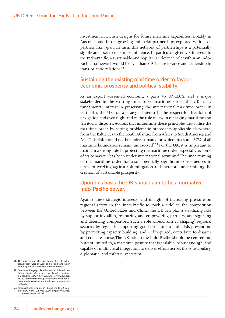investment in British designs for future maritime capabilities, notably in Australia, and in the growing industrial partnerships explored with close partners like Japan. In turn, this network of partnerships is a potentially significant asset to maximise influence. In particular, given US interests in the Indo-Pacific, a sustainable and regular UK defence role within an Indo-Pacific framework would likely enhance British relevance and leadership in trans-Atlantic relations<sup>52</sup>

#### **Sustaining the existing maritime order to favour economic prosperity and political stability.**

As an export –oriented economy, a party to UNCLOS, and a major stakeholder in the existing rules-based maritime order, the UK has a fundamental interest in preserving the international maritime order. In particular, the UK has a strategic interest in the respect for freedom of navigation and over-flight and of the rule of law in managing maritime and territorial disputes. Actions that undermine these principles destabilise the maritime order by setting problematic precedents applicable elsewhere, from the Baltic Sea to the South Atlantic, from Africa to South America and Asia. This risk should not be underestimated provided that some 57% of all maritime boundaries remain 'unresolved'.53 For the UK, it is important to maintain a strong role in protecting the maritime order, especially as some of its behaviour has been under international scrutiny.54 The undermining of the maritime order has also potentially significant consequences in terms of working against risk mitigation and therefore, undermining the creation of sustainable prosperity.

#### **Upon this basis the UK should aim to be a normative Indo-Pacific power.**

Against these strategic interests, and in light of increasing pressure on regional actors in the Indo-Pacific to 'pick a side' in the competition between the United States and China, the UK can play a stabilizing role by supporting allies, reassuring and empowering partners, and signaling and deterring competitors. Such a role should aim at 'shaping' regional security by regularly supporting good order at sea and crisis prevention, by promoting capacity building, and  $-$  if required, contribute to disaster and crisis response. The UK role in the Indo-Pacific should be centred on, but not limited to, a maritime posture that is scalable, robust enough, and capable of multilateral integration to deliver effects across the constabulary, diplomatic, and military spectrum.

**<sup>51.</sup> This was certainly the case before the UK's withdrawal from 'East of Suez', and a significant factor informing the policy reviews of the mid-1960s.**

**<sup>52.</sup> Centre for Enegergy, Petroleoum and Mineral Law Policy,** *Dundee Ocean and Lake Frontiers Institute and Neutrals (DOLFIN) Project***, https://www.dundee. ac.uk/cepmlp/research/projects/details/dundeeocean-and-lake-frontiers-institute-and-neutralsdolfin.php.**

**<sup>53.</sup> 'Chagos Islands Dispute: UN Backs End to UK Control', BBC News, 22 May 2019, https://www.bbc. co.uk/news/uk-48371388.**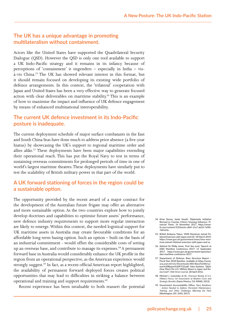### **The UK has a unique advantage in promoting multilateralism without containment.**

Actors like the United States have supported the Quadrilateral Security Dialogue (QSD). However the QSD is only one tool available to support a UK Indo-Pacific strategy and it remains in its infancy because of perceptions of 'containment' it engenders – especially in India – visà-vis China.55 The UK has showed relevant interest in this format, but it should remain focused on developing its existing wide portfolio of defence arrangements. In this context, the 'trilateral' cooperation with Japan and United States has been a very effective way to generate focused action with clear deliverables on maritime stability.<sup>56</sup> This is an example of how to maximise the impact and influence of UK defence engagement by means of enhanced multinational interoperability.

### **The current UK defence investment in its Indo-Pacific posture is inadequate.**

The current deployment schedule of major surface combatants in the East and South China Seas have done much to address prior absence (a five-year hiatus) by showcasing the UK's support to regional maritime order and allies alike.57 These deployments have been major capabilities extending their operational reach. This has put the Royal Navy to test in terms of sustaining overseas commitments for prolonged periods of time in one of world's largest maritime theatres. These deployments have similarly put to test the scalability of British military power in that part of the world.

## **A UK forward stationing of forces in the region could be a sustainable option.**

The opportunity provided by the recent award of a major contract for the development of the Australian future frigate may offer an alternative and more sustainable option. As the two countries explore how to jointly develop doctrines and capabilities to optimise future assets' performance, new defence industry requirements to support more regular interaction are likely to emerge. Within this context, the needed logistical support for UK maritime assets in Australia may create favourable conditions for an affordable long-term basing option. Such an option – built on the basis of an industrial commitment - would offset the considerable costs of setting up an overseas base, and contribute to manage its expenses.<sup>58</sup> A permanent forward base in Australia would considerably enhance the UK profile in the region from an operational perspective, as the American experience would strongly suggest.<sup>59</sup> In fact, as a recent official American report highlighted, the availability of permanent forward deployed forces creates political opportunities that may lead to difficulties in striking a balance between operational and training and support requirements.<sup>60</sup>

Recent experience has been invaluable to both reassert the potential

- **54. Kiran Stacey, Jamie Smyth, 'Diplomatic Initiative Revived to Counter China's Growing Influence', Financial Times, 14 November 2017, https://www. ft.com/content/5355ee2a-c869-11e7-ab18-7a9fb-7d6163e.**
- **55. British Embassy Tokyo, 'HMS Montrose Joined Trilateral Exercises with Japan and US', 18 March 2019, https://www.gov.uk/government/news/hms-montrose-joined-trilateral-exercises-with-japan-and-us.**
- **56. Admiral Sir Philip Jones, First Sea Lord, 'Speech at DSEI Maritime Conference 2017', 11 September 2017, https://www.gov.uk/government/speeches/ dsei-maritime-conference-2017.**
- **57. Department of Defense, Base Structure Report Fiscal Year 2018 Baseline, available at https://www. acq.osd.mil/eie/Downloads/BSI/Base%20Structure%20Report%20FY18.pdf; Yuka Koshino, 'Q&A: How Much Do U.S. Military Bases in Japan and Korea Cost?',** *Wall Street Journal***, 28 April 2016.**
- **58. Michael J. Lostumbo at Al.,** *Overseas Basing of U.S. Military Forces: An Assessment of Relative Costs and Strategic Benefits* **(Santa Monica, CA: RAND, 2013).**
- **59. Government Accountability Office,** *Navy Readiness – Action Needed to Address Persistent Maintenance, Training, and Other Challenges Affecting the Fleet*  **(Washington, DC: GAO, 2017).**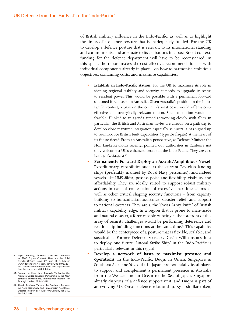of British military influence in the Indo-Pacific, as well as to highlight the limits of a defence posture that is inadequately funded. For the UK to develop a defence posture that is relevant to its international standing and commitments, and adequate to its aspirations in a post-Brexit context, funding for the defence department will have to be reconsidered. In this spirit, the report makes six cost-effective recommendations – with individual components already in place – on how to harmonise ambitious objectives, containing costs, and maximise capabilities:

- **• Establish an Indo-Pacific station**. For the UK to maximise its role in shaping regional stability and security, it needs to upgrade its status to resident power. This would be possible with a permanent forward stationed force based in Australia. Given Australia's position in the Indo-Pacific context, a base on the country's west coast would offer a costeffective and strategically relevant option. Such an option would be feasible if linked to an agenda aimed at working closely with allies. In particular, the British and Australian navies are already on a pathway to develop close maritime integration especially as Australia has signed up to re-introduce British built capabilities (Type 26 frigate) at the heart of its future fleet.<sup>61</sup> From an Australian perspective, as Defence Minister the Hon Linda Reynolds recentyl pointed out, authorities in Canberra not only welcome a UK's enhanced profile in the Indo-Pacific. They are also keen to facilitate it.<sup>62</sup>
- **• Permanently Forward Deploy an Assault/Amphibious Vessel**. Expeditionary capabilities such as the current Bay-class landing ships (preferably manned by Royal Navy personnel), and indeed vessels like *HMS Albion*, possess poise and flexibility, visibility and affordability. They are ideally suited to support robust military actions in case of contestation of excessive maritime claims as well as other critical shaping security functions – from capacity building to humanitarian assistance, disaster relief, and support to national overseas. They are a the 'Swiss Army knife' of British military capability edge. In a region that is prone to man-made and natural disaster, a force capable of being at the forefront of this array of security challenges would be performing deterrence and relationship building functions at the same time.<sup>63</sup> This capability would be the centerpiece of a posture that is flexible, scalable, and sustainable. Former Defence Secretary Gavin Williamson's idea to deploy one future 'Littoral Strike Ship' in the Indo-Pacific is particularly relevant in this regard.
- **• Develop a network of bases to maximise presence and operations**. In the Indo-Pacific, Duqm in Oman, Singapore in Southeast Asia, and Yokosuka in Japan, are potentially ideal places to support and complement a permanent presence in Australia from the Western Indian Ocean to the Sea of Japan. Singapore already disposes of a defence support unit, and Duqm is part of an evolving UK-Oman defence relationship. By a similar token,
- **60. Nigel Pittaway, 'Australia Officially Announc-es \$26B Frigate Contract. Here are the Build Details',** *Defence News***, 29 June 2018, https:// www.defensenews.com/naval/2018/06/29/ australia-officially-announces-26b-frigate-contract-here-are-the-build-details/.**
- **61. Senator the Hon Linda Reynolds, 'Reshaping the Australia-United Kingdom Partnership in the New Strategic Environment', International Institute for Strategic Studies, 08 July 2019.**
- **62. Alessio Patalano, 'Beyond the Gunboats: Rethinking Naval Diplomacy and Humanitarian Assistance Disaster Relief in East Asia',** *RUSI Journal***, Vol. 160, 2015:2, 32-39.**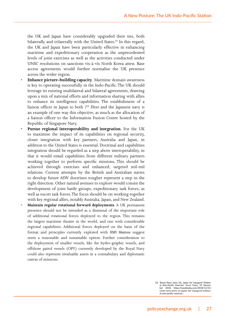the UK and Japan have considerably upgraded their ties, both bilaterally and trilaterally with the United States.<sup>64</sup> In this regard, the UK and Japan have been particularly effective in enhancing maritime and expeditionary cooperation as the unprecedented levels of joint exercises as well as the activities conducted under UNSC resolutions on sanctions vis-à-vis North Korea attest. Base access agreements would further normalise the UK presence across the wider region.

- **• Enhance picture-building capacity**. Maritime domain awareness is key to operating successfully in the Indo-Pacific. The UK should leverage its existing multilateral and bilateral agreements, drawing upon a mix of national efforts and information sharing with allies to enhance its intelligence capabilities. The establishment of a liaison officer in Japan to both  $7<sup>th</sup>$  Fleet and the Japanese navy is an example of one way this objective, as much as the allocation of a liaison officer to the Information Fusion Centre hosted by the Republic of Singapore Navy.
- **• Pursue regional interoperability and integration**. For the UK to maximise the impact of its capabilities on regional security, closer integration with key partners, Australia and Japan, in addition to the United States is essential. Doctrinal and capabilities integration should be regarded as a step above interoperability, in that it would entail capabilities from different military partners working together to perform specific missions. This should be achieved through exercises and enhanced, targeted mil-mil relations. Current attempts by the British and Australian navies to develop future ASW doctrines tougher represent a step in the right direction. Other natural avenues to explore would consist the development of joint battle groups, expeditionary task forces, as well as escort task forces. The focus should be on working together with key regional allies, notably Australia, Japan, and New Zealand.
- **• Maintain regular rotational forward deployments**. A UK permanent presence should not be intended as a dismissal of the important role of additional rotational forces deployed to the region. This remains the largest maritime theatre in the world, and one with considerable regional capabilities. Additional forces deployed on the basis of the format and principles currently explored with *HMS Montrose* suggest seem a reasonable and sustainable option. Further consideration to the deployment of smaller vessels, like the hydro-graphic vessels, and offshore patrol vessels (OPV) currently developed by the Royal Navy could also represent invaluable assets in a constabulary and diplomatic canvas of missions.

**63. 'Royal Navy Joins US, Japan for Inaugural Trilateral Asia-Pacific Exercise',** *Naval Today***, 21 December 2018, https://navaltoday.com/2018/12/21/ royal-navy-joins-us-japan-for-inaugural-trilateral-asia-pacific-exercise/.**